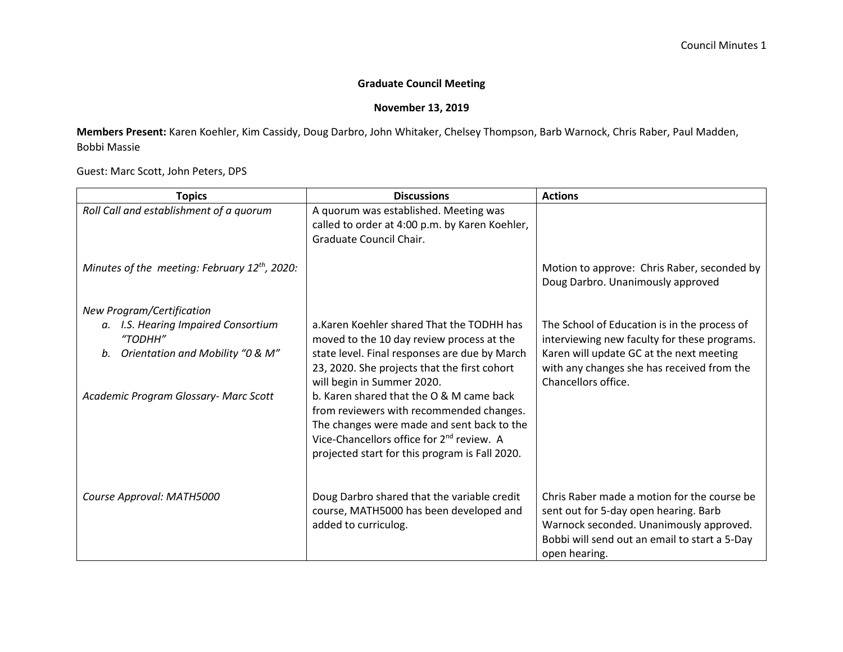## **Graduate Council Meeting**

## **November 13, 2019**

**Members Present:** Karen Koehler, Kim Cassidy, Doug Darbro, John Whitaker, Chelsey Thompson, Barb Warnock, Chris Raber, Paul Madden, Bobbi Massie

Guest: Marc Scott, John Peters, DPS

| <b>Topics</b>                                                                                                                  | <b>Discussions</b>                                                                                                                                                                                                                                                                                                                                                                                                                                                      | <b>Actions</b>                                                                                                                                                                                                |
|--------------------------------------------------------------------------------------------------------------------------------|-------------------------------------------------------------------------------------------------------------------------------------------------------------------------------------------------------------------------------------------------------------------------------------------------------------------------------------------------------------------------------------------------------------------------------------------------------------------------|---------------------------------------------------------------------------------------------------------------------------------------------------------------------------------------------------------------|
| Roll Call and establishment of a quorum                                                                                        | A quorum was established. Meeting was<br>called to order at 4:00 p.m. by Karen Koehler,<br>Graduate Council Chair.                                                                                                                                                                                                                                                                                                                                                      |                                                                                                                                                                                                               |
| Minutes of the meeting: February 12 <sup>th</sup> , 2020:                                                                      |                                                                                                                                                                                                                                                                                                                                                                                                                                                                         | Motion to approve: Chris Raber, seconded by<br>Doug Darbro. Unanimously approved                                                                                                                              |
| New Program/Certification                                                                                                      |                                                                                                                                                                                                                                                                                                                                                                                                                                                                         |                                                                                                                                                                                                               |
| a. I.S. Hearing Impaired Consortium<br>"TODHH"<br>b. Orientation and Mobility "0 & M"<br>Academic Program Glossary- Marc Scott | a. Karen Koehler shared That the TODHH has<br>moved to the 10 day review process at the<br>state level. Final responses are due by March<br>23, 2020. She projects that the first cohort<br>will begin in Summer 2020.<br>b. Karen shared that the O & M came back<br>from reviewers with recommended changes.<br>The changes were made and sent back to the<br>Vice-Chancellors office for 2 <sup>nd</sup> review. A<br>projected start for this program is Fall 2020. | The School of Education is in the process of<br>interviewing new faculty for these programs.<br>Karen will update GC at the next meeting<br>with any changes she has received from the<br>Chancellors office. |
| Course Approval: MATH5000                                                                                                      | Doug Darbro shared that the variable credit<br>course, MATH5000 has been developed and<br>added to curriculog.                                                                                                                                                                                                                                                                                                                                                          | Chris Raber made a motion for the course be<br>sent out for 5-day open hearing. Barb<br>Warnock seconded. Unanimously approved.<br>Bobbi will send out an email to start a 5-Day<br>open hearing.             |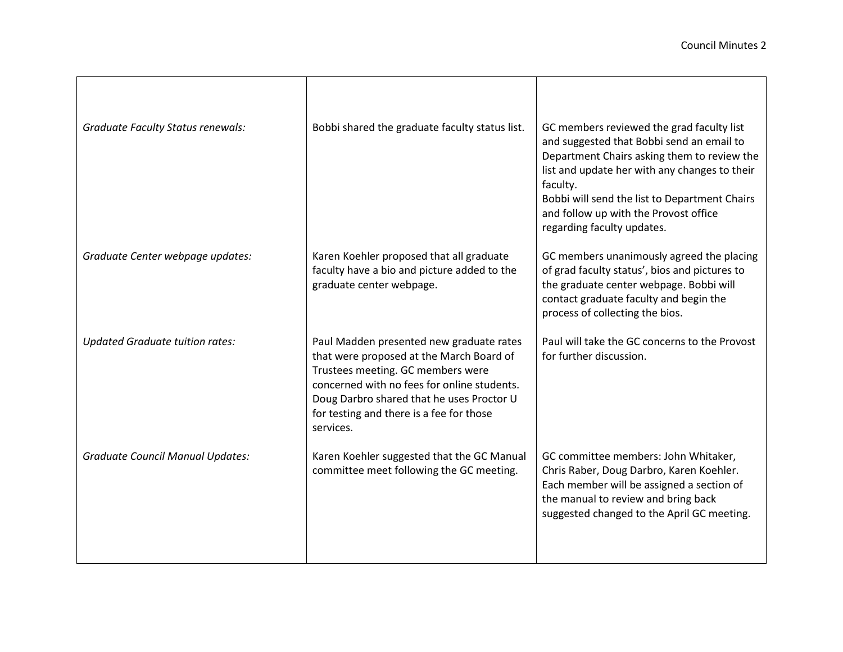| <b>Graduate Faculty Status renewals:</b> | Bobbi shared the graduate faculty status list.                                                                                                                                                                                                                                 | GC members reviewed the grad faculty list<br>and suggested that Bobbi send an email to<br>Department Chairs asking them to review the<br>list and update her with any changes to their<br>faculty.<br>Bobbi will send the list to Department Chairs<br>and follow up with the Provost office<br>regarding faculty updates. |
|------------------------------------------|--------------------------------------------------------------------------------------------------------------------------------------------------------------------------------------------------------------------------------------------------------------------------------|----------------------------------------------------------------------------------------------------------------------------------------------------------------------------------------------------------------------------------------------------------------------------------------------------------------------------|
| Graduate Center webpage updates:         | Karen Koehler proposed that all graduate<br>faculty have a bio and picture added to the<br>graduate center webpage.                                                                                                                                                            | GC members unanimously agreed the placing<br>of grad faculty status', bios and pictures to<br>the graduate center webpage. Bobbi will<br>contact graduate faculty and begin the<br>process of collecting the bios.                                                                                                         |
| <b>Updated Graduate tuition rates:</b>   | Paul Madden presented new graduate rates<br>that were proposed at the March Board of<br>Trustees meeting. GC members were<br>concerned with no fees for online students.<br>Doug Darbro shared that he uses Proctor U<br>for testing and there is a fee for those<br>services. | Paul will take the GC concerns to the Provost<br>for further discussion.                                                                                                                                                                                                                                                   |
| <b>Graduate Council Manual Updates:</b>  | Karen Koehler suggested that the GC Manual<br>committee meet following the GC meeting.                                                                                                                                                                                         | GC committee members: John Whitaker,<br>Chris Raber, Doug Darbro, Karen Koehler.<br>Each member will be assigned a section of<br>the manual to review and bring back<br>suggested changed to the April GC meeting.                                                                                                         |